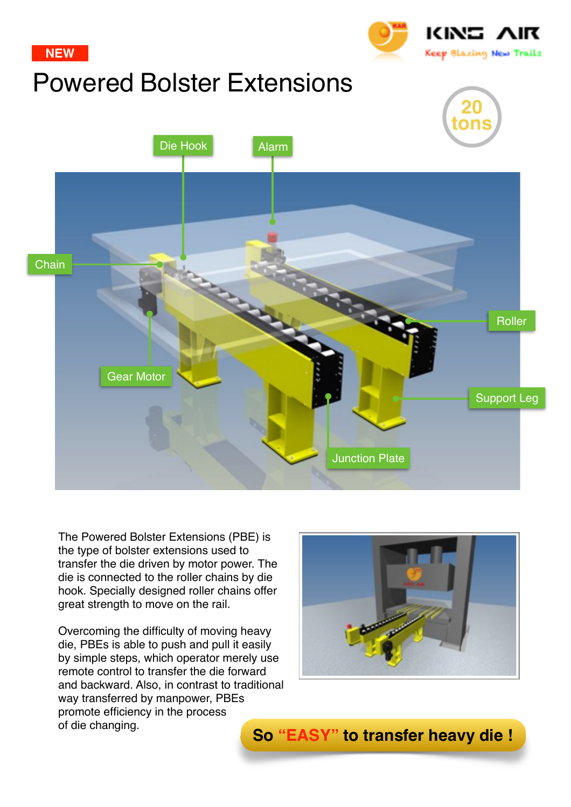

The Powered Bolster Extensions (PBE) is the type of bolster extensions used to transfer the die driven by motor power. The die is connected to the roller chains by die hook. Specially designed roller chains offer great strength to move on the rail.

Overcoming the difficulty of moving heavy die, PBEs is able to push and pull it easily by simple steps, which operator merely use remote control to transfer the die forward and backward. Also, in contrast to traditional way transferred by manpower, PBEs promote efficiency in the process



of die changing. **So "EASY" to transfer heavy die !**